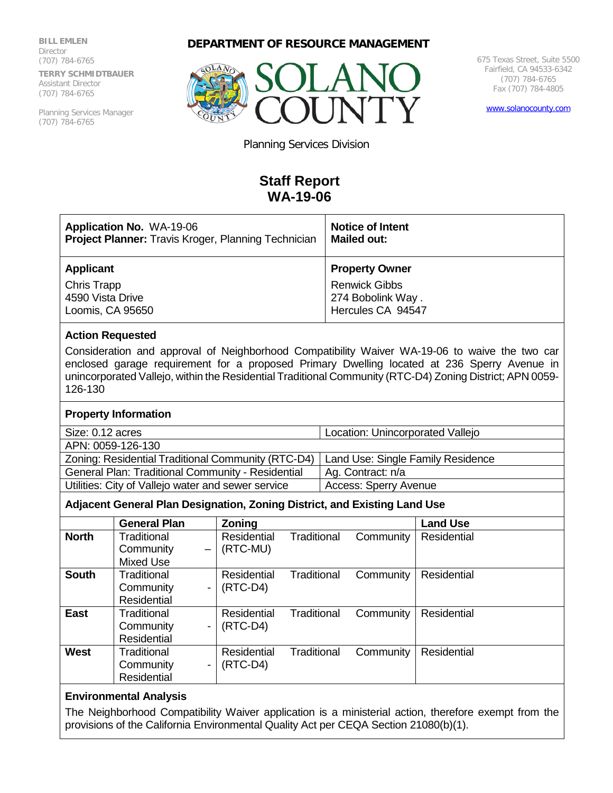**BILL EMLEN Director** (707) 784-6765 **TERRY SCHMIDTBAUER** Assistant Director (707) 784-6765

Planning Services Manager (707) 784-6765





675 Texas Street, Suite 5500 Fairfield, CA 94533-6342 (707) 784-6765 Fax (707) 784-4805

[www.solanocounty.com](http://www.solanocounty.com/)

Planning Services Division

# **Staff Report WA-19-06**

| <b>Application No. WA-19-06</b>                            | <b>Notice of Intent</b> |
|------------------------------------------------------------|-------------------------|
| <b>Project Planner:</b> Travis Kroger, Planning Technician | <b>Mailed out:</b>      |
| <b>Applicant</b>                                           | <b>Property Owner</b>   |
| <b>Chris Trapp</b>                                         | <b>Renwick Gibbs</b>    |
| 4590 Vista Drive                                           | 274 Bobolink Way.       |
| Loomis, CA 95650                                           | Hercules CA 94547       |

#### **Action Requested**

Consideration and approval of Neighborhood Compatibility Waiver WA-19-06 to waive the two car enclosed garage requirement for a proposed Primary Dwelling located at 236 Sperry Avenue in unincorporated Vallejo, within the Residential Traditional Community (RTC-D4) Zoning District; APN 0059- 126-130

## **Property Information**

Size: 0.12 acres Location: Unincorporated Vallejo

| APN: 0059-126-130                                  |                                   |  |
|----------------------------------------------------|-----------------------------------|--|
| Zoning: Residential Traditional Community (RTC-D4) | Land Use: Single Family Residence |  |
| General Plan: Traditional Community - Residential  | Ag. Contract: n/a                 |  |
| Utilities: City of Vallejo water and sewer service | Access: Sperry Avenue             |  |

## **Adjacent General Plan Designation, Zoning District, and Existing Land Use**

|              | <b>General Plan</b>                   | <b>Zoning</b> |             |           | <b>Land Use</b> |
|--------------|---------------------------------------|---------------|-------------|-----------|-----------------|
| <b>North</b> | Traditional                           | Residential   | Traditional | Community | Residential     |
|              | Community<br>$\overline{\phantom{m}}$ | (RTC-MU)      |             |           |                 |
|              | Mixed Use                             |               |             |           |                 |
| <b>South</b> | Traditional                           | Residential   | Traditional | Community | Residential     |
|              | Community<br>-                        | $(RTC-D4)$    |             |           |                 |
|              | Residential                           |               |             |           |                 |
| <b>East</b>  | Traditional                           | Residential   | Traditional | Community | Residential     |
|              | Community<br>$\overline{\phantom{a}}$ | $(RTC-D4)$    |             |           |                 |
|              | Residential                           |               |             |           |                 |
| West         | Traditional                           | Residential   | Traditional | Community | Residential     |
|              | Community<br>-                        | $(RTC-D4)$    |             |           |                 |
|              | Residential                           |               |             |           |                 |

#### **Environmental Analysis**

The Neighborhood Compatibility Waiver application is a ministerial action, therefore exempt from the provisions of the California Environmental Quality Act per CEQA Section 21080(b)(1).